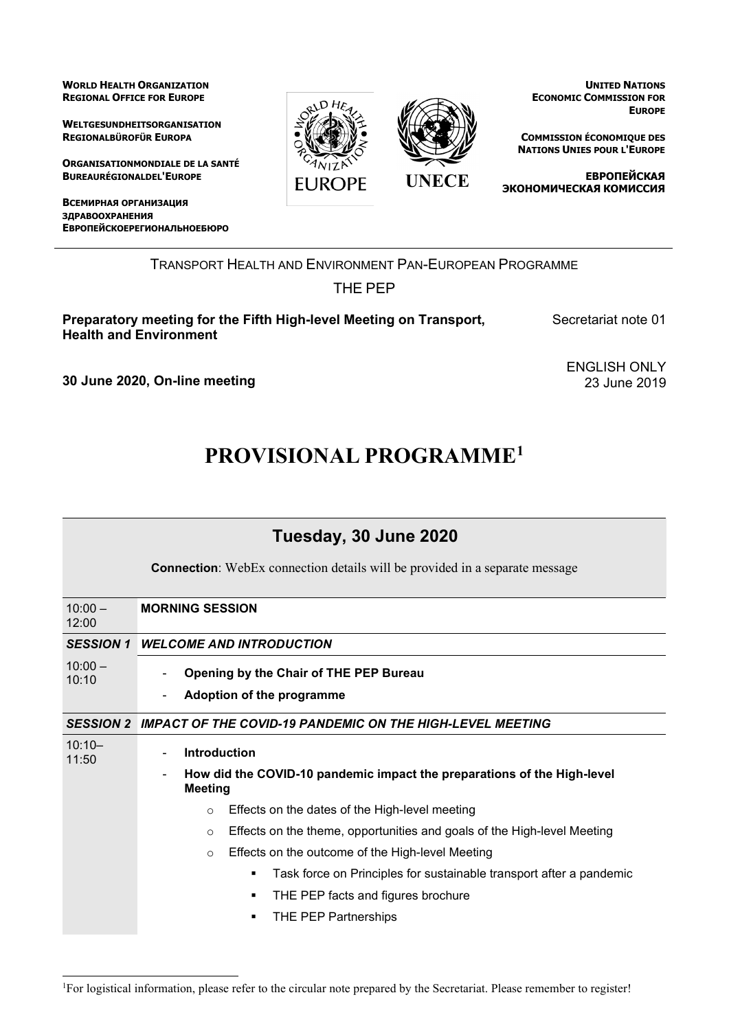**WORLD HEALTH ORGANIZATION REGIONAL OFFICE FOR EUROPE**

**WELTGESUNDHEITSORGANISATION REGIONALBÜROFÜR EUROPA**

**ORGANISATIONMONDIALE DE LA SANTÉ BUREAURÉGIONALDEL'EUROPE**

**ВСЕМИРНАЯ ОРГАНИЗАЦИЯ ЗДРАВООХРАНЕНИЯ ЕВРОПЕЙСКОЕРЕГИОНАЛЬНОЕБЮРО**





**UNITED NATIONS ECONOMIC COMMISSION FOR EUROPE**

**COMMISSION ÉCONOMIQUE DES NATIONS UNIES POUR L'EUROPE**

**ЕВРОПЕЙСКАЯ ЭКОНОМИЧЕСКАЯ КОМИССИЯ**

TRANSPORT HEALTH AND ENVIRONMENT PAN-EUROPEAN PROGRAMME

## THE PEP

**Preparatory meeting for the Fifth High-level Meeting on Transport, Health and Environment** 

Secretariat note 01

**30 June 2020, On-line meeting**

ENGLISH ONLY 23 June 2019

## **PROVISIONAL PROGRAMME[1](#page-0-0)**

| Tuesday, 30 June 2020 |                                                                                           |
|-----------------------|-------------------------------------------------------------------------------------------|
|                       | <b>Connection</b> : WebEx connection details will be provided in a separate message       |
| $10:00 -$<br>12:00    | <b>MORNING SESSION</b>                                                                    |
| <b>SESSION 1</b>      | <b>WELCOME AND INTRODUCTION</b>                                                           |
| $10:00 -$<br>10:10    | Opening by the Chair of THE PEP Bureau<br>Adoption of the programme                       |
| <b>SESSION 2</b>      | IMPACT OF THE COVID-19 PANDEMIC ON THE HIGH-LEVEL MEETING                                 |
| $10:10 -$<br>11:50    | <b>Introduction</b>                                                                       |
|                       | How did the COVID-10 pandemic impact the preparations of the High-level<br><b>Meeting</b> |
|                       | Effects on the dates of the High-level meeting<br>$\circ$                                 |
|                       | Effects on the theme, opportunities and goals of the High-level Meeting<br>$\circ$        |
|                       | Effects on the outcome of the High-level Meeting<br>$\circ$                               |
|                       | Task force on Principles for sustainable transport after a pandemic<br>٠                  |
|                       | THE PEP facts and figures brochure<br>٠                                                   |
|                       | THE PEP Partnerships                                                                      |

<span id="page-0-0"></span><sup>1</sup> For logistical information, please refer to the circular note prepared by the Secretariat. Please remember to register!